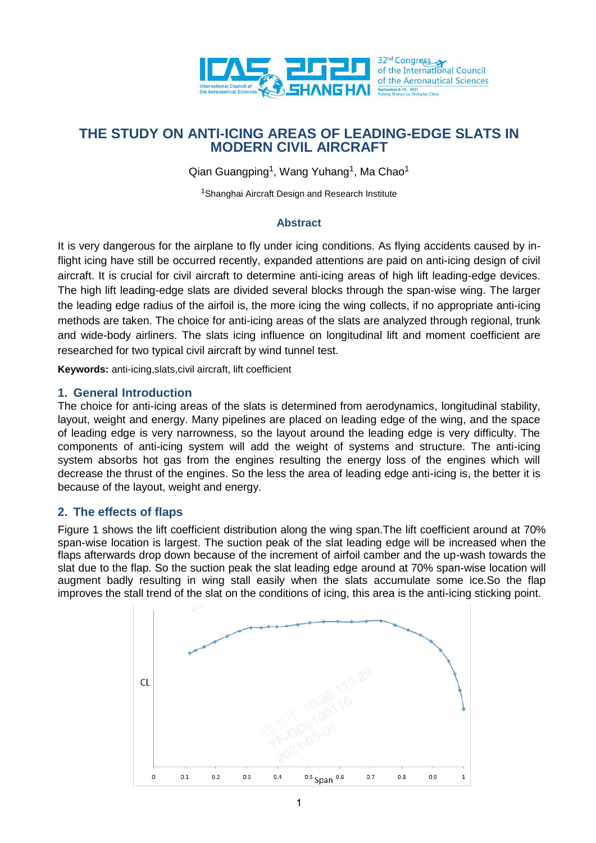

# **THE STUDY ON ANTI-ICING AREAS OF LEADING-EDGE SLATS IN MODERN CIVIL AIRCRAFT**

Qian Guangping<sup>1</sup>, Wang Yuhang<sup>1</sup>, Ma Chao<sup>1</sup>

<sup>1</sup>Shanghai Aircraft Design and Research Institute

#### **Abstract**

It is very dangerous for the airplane to fly under icing conditions. As flying accidents caused by inflight icing have still be occurred recently, expanded attentions are paid on anti-icing design of civil aircraft. It is crucial for civil aircraft to determine anti-icing areas of high lift leading-edge devices. The high lift leading-edge slats are divided several blocks through the span-wise wing. The larger the leading edge radius of the airfoil is, the more icing the wing collects, if no appropriate anti-icing methods are taken. The choice for anti-icing areas of the slats are analyzed through regional, trunk and wide-body airliners. The slats icing influence on longitudinal lift and moment coefficient are researched for two typical civil aircraft by wind tunnel test.

**Keywords:** anti-icing,slats,civil aircraft, lift coefficient

### **1. General Introduction**

The choice for anti-icing areas of the slats is determined from aerodynamics, longitudinal stability, layout, weight and energy. Many pipelines are placed on leading edge of the wing, and the space of leading edge is very narrowness, so the layout around the leading edge is very difficulty. The components of anti-icing system will add the weight of systems and structure. The anti-icing system absorbs hot gas from the engines resulting the energy loss of the engines which will decrease the thrust of the engines. So the less the area of leading edge anti-icing is, the better it is because of the layout, weight and energy.

## **2. The effects of flaps**

Figure 1 shows the lift coefficient distribution along the wing span.The lift coefficient around at 70% span-wise location is largest. The suction peak of the slat leading edge will be increased when the flaps afterwards drop down because of the increment of airfoil camber and the up-wash towards the slat due to the flap. So the suction peak the slat leading edge around at 70% span-wise location will augment badly resulting in wing stall easily when the slats accumulate some ice.So the flap improves the stall trend of the slat on the conditions of icing, this area is the anti-icing sticking point.

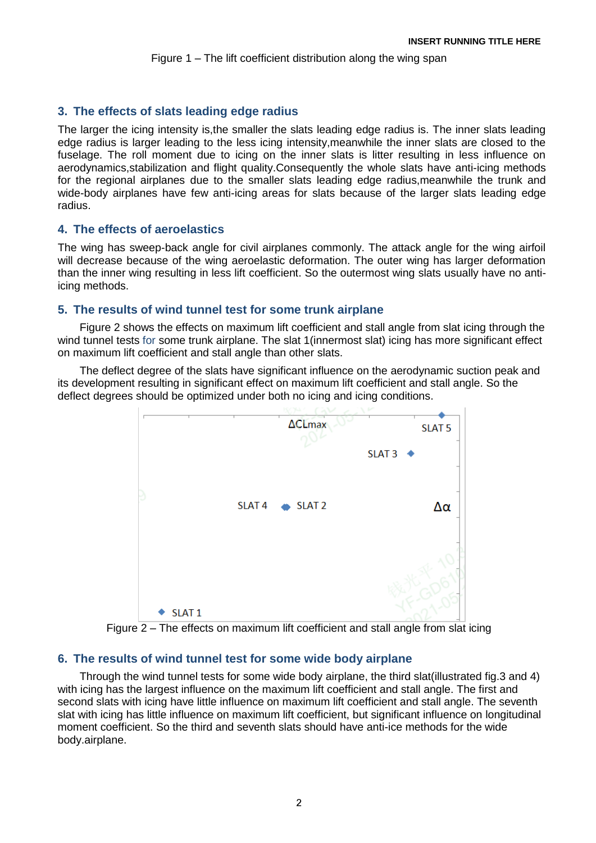## **3. The effects of slats leading edge radius**

The larger the icing intensity is,the smaller the slats leading edge radius is. The inner slats leading edge radius is larger leading to the less icing intensity,meanwhile the inner slats are closed to the fuselage. The roll moment due to icing on the inner slats is litter resulting in less influence on aerodynamics,stabilization and flight quality.Consequently the whole slats have anti-icing methods for the regional airplanes due to the smaller slats leading edge radius,meanwhile the trunk and wide-body airplanes have few anti-icing areas for slats because of the larger slats leading edge radius.

### **4. The effects of aeroelastics**

The wing has sweep-back angle for civil airplanes commonly. The attack angle for the wing airfoil will decrease because of the wing aeroelastic deformation. The outer wing has larger deformation than the inner wing resulting in less lift coefficient. So the outermost wing slats usually have no antiicing methods.

### **5. The results of wind tunnel test for some trunk airplane**

Figure 2 shows the effects on maximum lift coefficient and stall angle from slat icing through the wind tunnel tests for some trunk airplane. The slat 1(innermost slat) icing has more significant effect on maximum lift coefficient and stall angle than other slats.

The deflect degree of the slats have significant influence on the aerodynamic suction peak and its development resulting in significant effect on maximum lift coefficient and stall angle. So the deflect degrees should be optimized under both no icing and icing conditions.



Figure 2 – The effects on maximum lift coefficient and stall angle from slat icing

## **6. The results of wind tunnel test for some wide body airplane**

Through the wind tunnel tests for some wide body airplane, the third slat(illustrated fig.3 and 4) with icing has the largest influence on the maximum lift coefficient and stall angle. The first and second slats with icing have little influence on maximum lift coefficient and stall angle. The seventh slat with icing has little influence on maximum lift coefficient, but significant influence on longitudinal moment coefficient. So the third and seventh slats should have anti-ice methods for the wide body.airplane.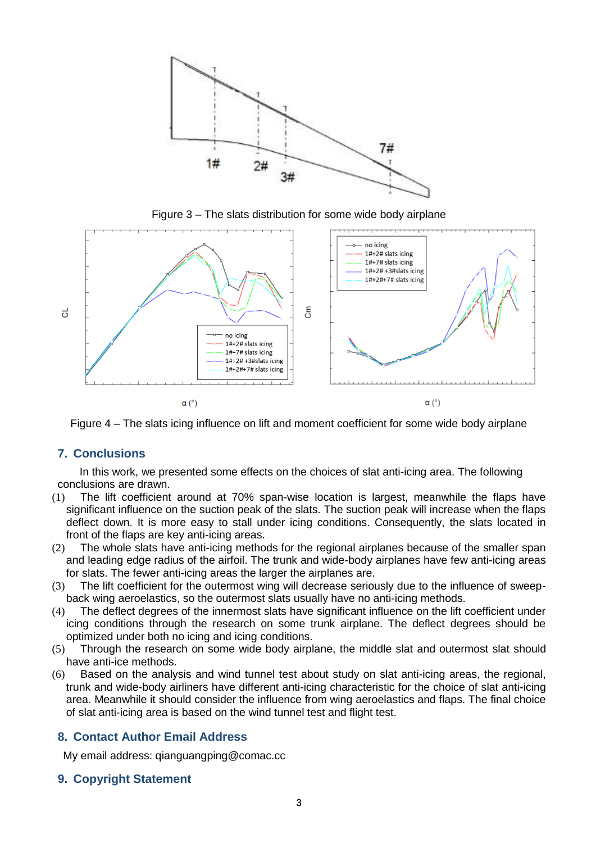

Figure 3 – The slats distribution for some wide body airplane



Figure 4 – The slats icing influence on lift and moment coefficient for some wide body airplane

## **7. Conclusions**

In this work, we presented some effects on the choices of slat anti-icing area. The following conclusions are drawn.

- (1) The lift coefficient around at 70% span-wise location is largest, meanwhile the flaps have significant influence on the suction peak of the slats. The suction peak will increase when the flaps deflect down. It is more easy to stall under icing conditions. Consequently, the slats located in front of the flaps are key anti-icing areas.
- (2) The whole slats have anti-icing methods for the regional airplanes because of the smaller span and leading edge radius of the airfoil. The trunk and wide-body airplanes have few anti-icing areas for slats. The fewer anti-icing areas the larger the airplanes are.
- (3) The lift coefficient for the outermost wing will decrease seriously due to the influence of sweepback wing aeroelastics, so the outermost slats usually have no anti-icing methods.
- (4) The deflect degrees of the innermost slats have significant influence on the lift coefficient under icing conditions through the research on some trunk airplane. The deflect degrees should be optimized under both no icing and icing conditions.
- (5) Through the research on some wide body airplane, the middle slat and outermost slat should have anti-ice methods.
- (6) Based on the analysis and wind tunnel test about study on slat anti-icing areas, the regional, trunk and wide-body airliners have different anti-icing characteristic for the choice of slat anti-icing area. Meanwhile it should consider the influence from wing aeroelastics and flaps. The final choice of slat anti-icing area is based on the wind tunnel test and flight test.

## **8. Contact Author Email Address**

My email address: qianguangping@comac.cc

## **9. Copyright Statement**